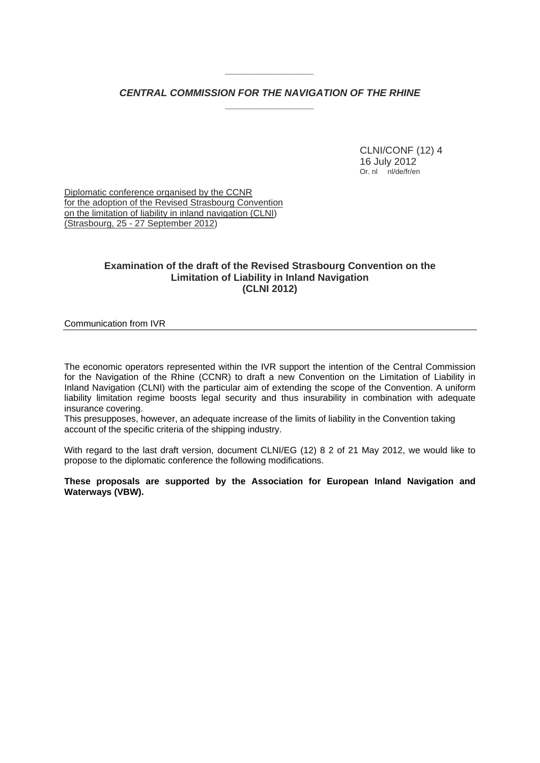# *CENTRAL COMMISSION FOR THE NAVIGATION OF THE RHINE \_\_\_\_\_\_\_\_\_\_\_\_\_\_\_\_*

*\_\_\_\_\_\_\_\_\_\_\_\_\_\_\_\_* 

 CLNI/CONF (12) 4 16 July 2012 Or. nl nl/de/fr/en

Diplomatic conference organised by the CCNR for the adoption of the Revised Strasbourg Convention on the limitation of liability in inland navigation (CLNI) (Strasbourg, 25 - 27 September 2012)

# **Examination of the draft of the Revised Strasbourg Convention on the Limitation of Liability in Inland Navigation (CLNI 2012)**

#### Communication from IVR

The economic operators represented within the IVR support the intention of the Central Commission for the Navigation of the Rhine (CCNR) to draft a new Convention on the Limitation of Liability in Inland Navigation (CLNI) with the particular aim of extending the scope of the Convention. A uniform liability limitation regime boosts legal security and thus insurability in combination with adequate insurance covering.

This presupposes, however, an adequate increase of the limits of liability in the Convention taking account of the specific criteria of the shipping industry.

With regard to the last draft version, document CLNI/EG (12) 8 2 of 21 May 2012, we would like to propose to the diplomatic conference the following modifications.

**These proposals are supported by the Association for European Inland Navigation and Waterways (VBW).**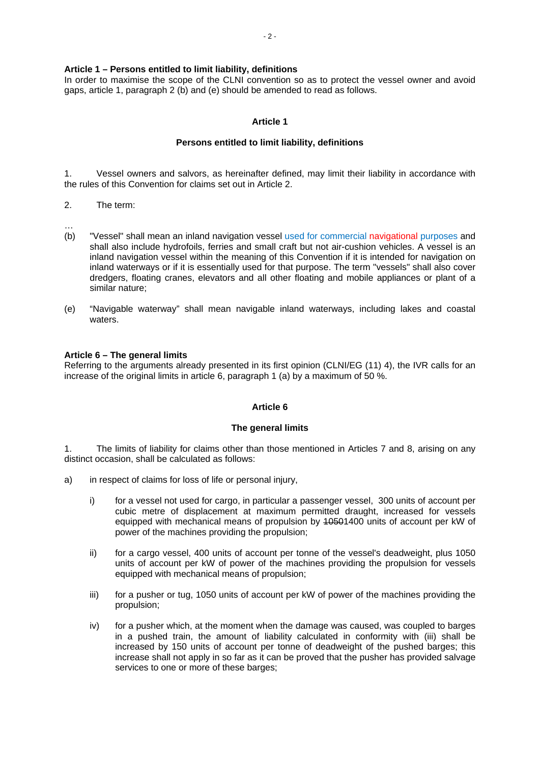### **Article 1 – Persons entitled to limit liability, definitions**

In order to maximise the scope of the CLNI convention so as to protect the vessel owner and avoid gaps, article 1, paragraph 2 (b) and (e) should be amended to read as follows.

### **Article 1**

#### **Persons entitled to limit liability, definitions**

1. Vessel owners and salvors, as hereinafter defined, may limit their liability in accordance with the rules of this Convention for claims set out in Article 2.

- 2. The term:
- …
- (b) "Vessel" shall mean an inland navigation vessel used for commercial navigational purposes and shall also include hydrofoils, ferries and small craft but not air-cushion vehicles. A vessel is an inland navigation vessel within the meaning of this Convention if it is intended for navigation on inland waterways or if it is essentially used for that purpose. The term "vessels" shall also cover dredgers, floating cranes, elevators and all other floating and mobile appliances or plant of a similar nature;
- (e) "Navigable waterway" shall mean navigable inland waterways, including lakes and coastal waters

#### **Article 6 – The general limits**

Referring to the arguments already presented in its first opinion (CLNI/EG (11) 4), the IVR calls for an increase of the original limits in article 6, paragraph 1 (a) by a maximum of 50 %.

#### **Article 6**

#### **The general limits**

1. The limits of liability for claims other than those mentioned in Articles 7 and 8, arising on any distinct occasion, shall be calculated as follows:

- a) in respect of claims for loss of life or personal injury,
	- i) for a vessel not used for cargo, in particular a passenger vessel, 300 units of account per cubic metre of displacement at maximum permitted draught, increased for vessels equipped with mechanical means of propulsion by 10501400 units of account per kW of power of the machines providing the propulsion;
	- ii) for a cargo vessel, 400 units of account per tonne of the vessel's deadweight, plus 1050 units of account per kW of power of the machines providing the propulsion for vessels equipped with mechanical means of propulsion;
	- iii) for a pusher or tug, 1050 units of account per kW of power of the machines providing the propulsion;
	- iv) for a pusher which, at the moment when the damage was caused, was coupled to barges in a pushed train, the amount of liability calculated in conformity with (iii) shall be increased by 150 units of account per tonne of deadweight of the pushed barges; this increase shall not apply in so far as it can be proved that the pusher has provided salvage services to one or more of these barges;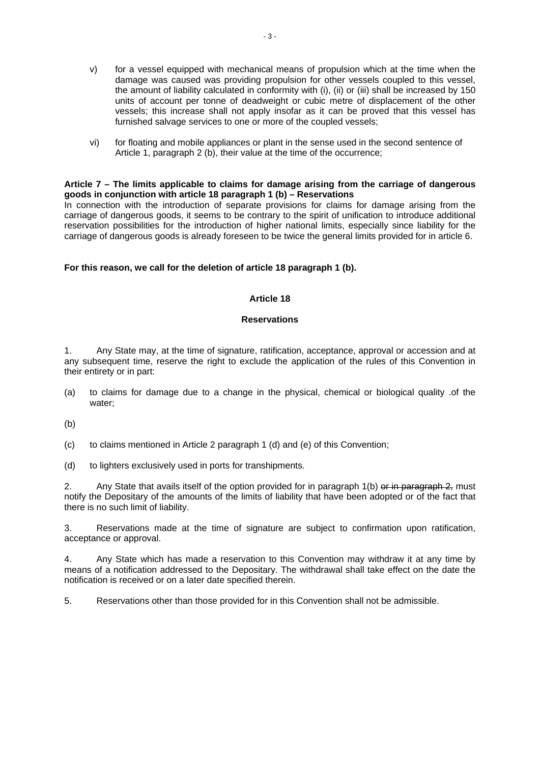- v) for a vessel equipped with mechanical means of propulsion which at the time when the damage was caused was providing propulsion for other vessels coupled to this vessel, the amount of liability calculated in conformity with (i), (ii) or (iii) shall be increased by 150 units of account per tonne of deadweight or cubic metre of displacement of the other vessels; this increase shall not apply insofar as it can be proved that this vessel has furnished salvage services to one or more of the coupled vessels;
- vi) for floating and mobile appliances or plant in the sense used in the second sentence of Article 1, paragraph 2 (b), their value at the time of the occurrence;

#### **Article 7 – The limits applicable to claims for damage arising from the carriage of dangerous goods in conjunction with article 18 paragraph 1 (b) – Reservations**

In connection with the introduction of separate provisions for claims for damage arising from the carriage of dangerous goods, it seems to be contrary to the spirit of unification to introduce additional reservation possibilities for the introduction of higher national limits, especially since liability for the carriage of dangerous goods is already foreseen to be twice the general limits provided for in article 6.

**For this reason, we call for the deletion of article 18 paragraph 1 (b).** 

## **Article 18**

#### **Reservations**

1. Any State may, at the time of signature, ratification, acceptance, approval or accession and at any subsequent time, reserve the right to exclude the application of the rules of this Convention in their entirety or in part:

(a) to claims for damage due to a change in the physical, chemical or biological quality .of the water;

(b)

- (c) to claims mentioned in Article 2 paragraph 1 (d) and (e) of this Convention;
- (d) to lighters exclusively used in ports for transhipments.

2. Any State that avails itself of the option provided for in paragraph  $1(b)$  or in paragraph  $2$ , must notify the Depositary of the amounts of the limits of liability that have been adopted or of the fact that there is no such limit of liability.

3. Reservations made at the time of signature are subject to confirmation upon ratification, acceptance or approval.

4. Any State which has made a reservation to this Convention may withdraw it at any time by means of a notification addressed to the Depositary. The withdrawal shall take effect on the date the notification is received or on a later date specified therein.

5. Reservations other than those provided for in this Convention shall not be admissible.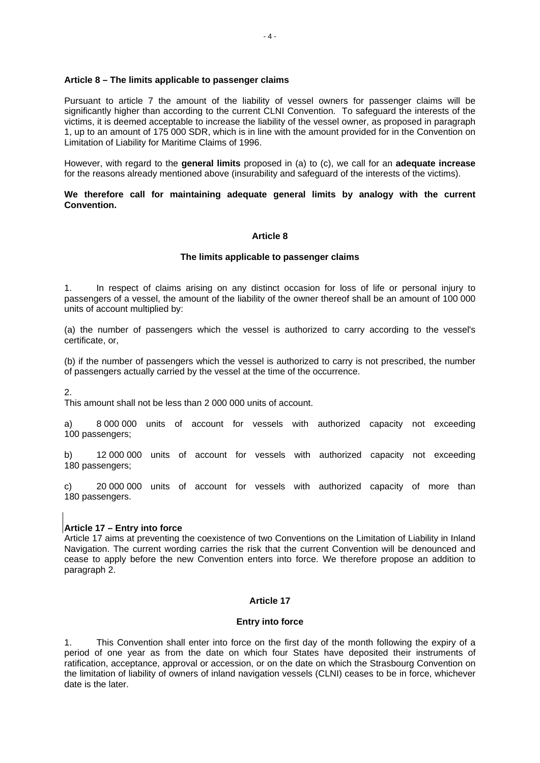#### **Article 8 – The limits applicable to passenger claims**

Pursuant to article 7 the amount of the liability of vessel owners for passenger claims will be significantly higher than according to the current CLNI Convention. To safeguard the interests of the victims, it is deemed acceptable to increase the liability of the vessel owner, as proposed in paragraph 1, up to an amount of 175 000 SDR, which is in line with the amount provided for in the Convention on Limitation of Liability for Maritime Claims of 1996.

However, with regard to the **general limits** proposed in (a) to (c), we call for an **adequate increase** for the reasons already mentioned above (insurability and safeguard of the interests of the victims).

### **We therefore call for maintaining adequate general limits by analogy with the current Convention.**

## **Article 8**

## **The limits applicable to passenger claims**

1. In respect of claims arising on any distinct occasion for loss of life or personal injury to passengers of a vessel, the amount of the liability of the owner thereof shall be an amount of 100 000 units of account multiplied by:

(a) the number of passengers which the vessel is authorized to carry according to the vessel's certificate, or,

(b) if the number of passengers which the vessel is authorized to carry is not prescribed, the number of passengers actually carried by the vessel at the time of the occurrence.

2.

This amount shall not be less than 2 000 000 units of account.

a) 8 000 000 units of account for vessels with authorized capacity not exceeding 100 passengers;

b) 12 000 000 units of account for vessels with authorized capacity not exceeding 180 passengers;

c) 20 000 000 units of account for vessels with authorized capacity of more than 180 passengers.

# **Article 17 – Entry into force**

Article 17 aims at preventing the coexistence of two Conventions on the Limitation of Liability in Inland Navigation. The current wording carries the risk that the current Convention will be denounced and cease to apply before the new Convention enters into force. We therefore propose an addition to paragraph 2.

### **Article 17**

#### **Entry into force**

1. This Convention shall enter into force on the first day of the month following the expiry of a period of one year as from the date on which four States have deposited their instruments of ratification, acceptance, approval or accession, or on the date on which the Strasbourg Convention on the limitation of liability of owners of inland navigation vessels (CLNI) ceases to be in force, whichever date is the later.